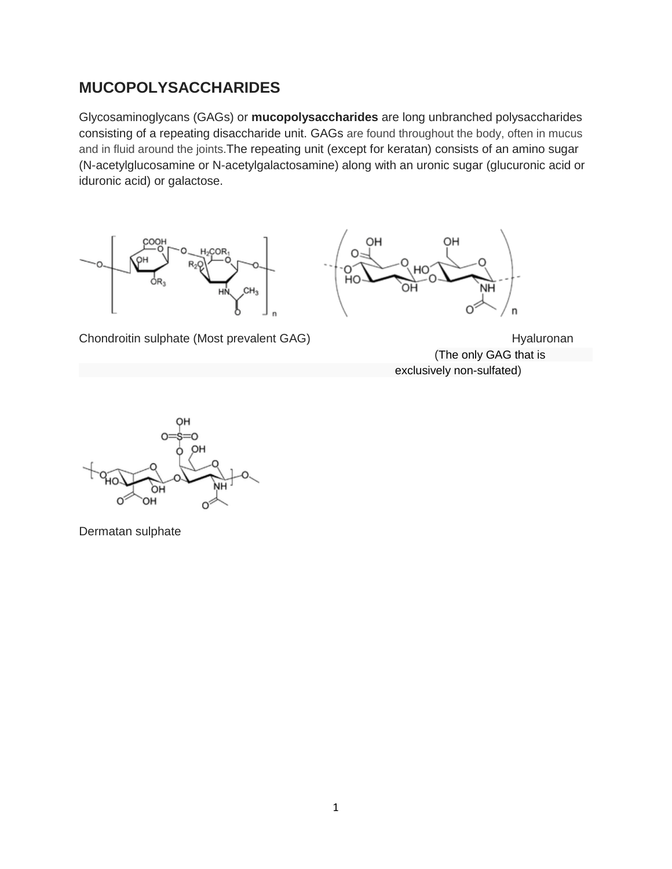# **MUCOPOLYSACCHARIDES**

Glycosaminoglycans (GAGs) or **mucopolysaccharides** are long unbranched polysaccharides consisting of a repeating disaccharide unit. GAGs are found throughout the body, often in mucus and in fluid around the joints.The repeating unit (except for keratan) consists of an amino sugar (N-acetylglucosamine or N-acetylgalactosamine) along with an uronic sugar (glucuronic acid or iduronic acid) or galactose.





Chondroitin sulphate (Most prevalent GAG) and the extendion of the Hyaluronan

(The only GAG that is exclusively non-sulfated)



Dermatan sulphate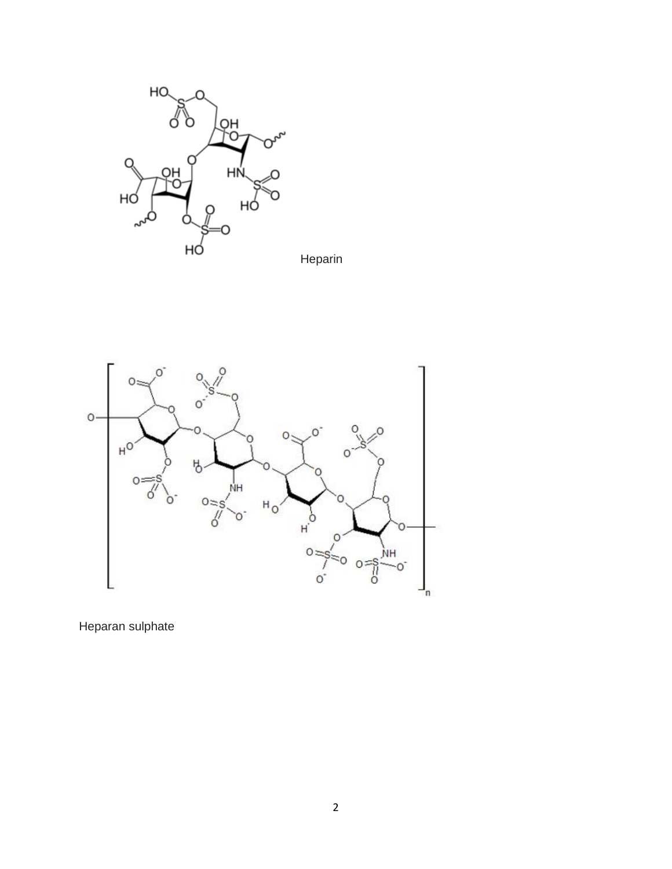





Heparan sulphate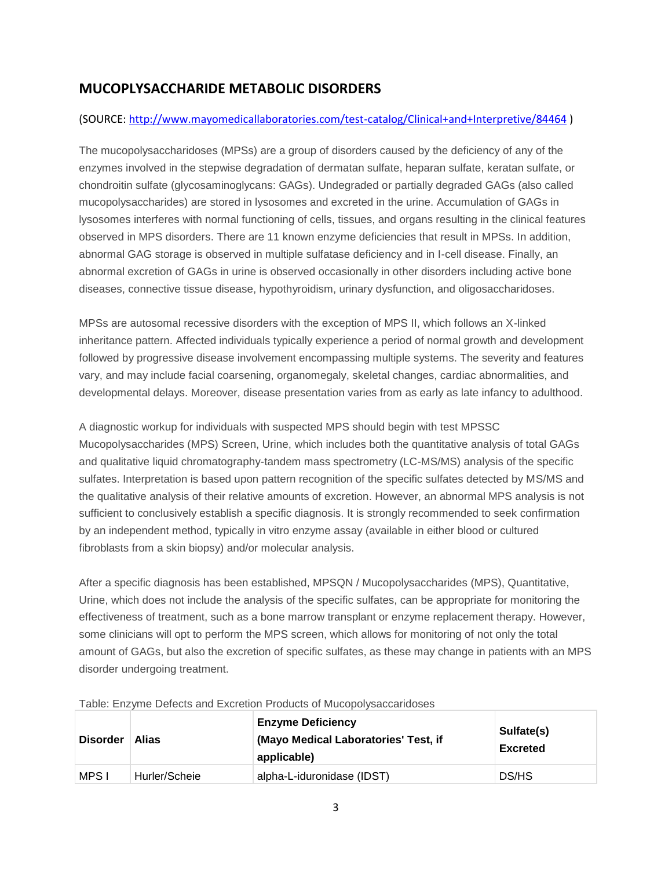# **MUCOPLYSACCHARIDE METABOLIC DISORDERS**

#### (SOURCE:<http://www.mayomedicallaboratories.com/test-catalog/Clinical+and+Interpretive/84464> )

The mucopolysaccharidoses (MPSs) are a group of disorders caused by the deficiency of any of the enzymes involved in the stepwise degradation of dermatan sulfate, heparan sulfate, keratan sulfate, or chondroitin sulfate (glycosaminoglycans: GAGs). Undegraded or partially degraded GAGs (also called mucopolysaccharides) are stored in lysosomes and excreted in the urine. Accumulation of GAGs in lysosomes interferes with normal functioning of cells, tissues, and organs resulting in the clinical features observed in MPS disorders. There are 11 known enzyme deficiencies that result in MPSs. In addition, abnormal GAG storage is observed in multiple sulfatase deficiency and in I-cell disease. Finally, an abnormal excretion of GAGs in urine is observed occasionally in other disorders including active bone diseases, connective tissue disease, hypothyroidism, urinary dysfunction, and oligosaccharidoses.

MPSs are autosomal recessive disorders with the exception of MPS II, which follows an X-linked inheritance pattern. Affected individuals typically experience a period of normal growth and development followed by progressive disease involvement encompassing multiple systems. The severity and features vary, and may include facial coarsening, organomegaly, skeletal changes, cardiac abnormalities, and developmental delays. Moreover, disease presentation varies from as early as late infancy to adulthood.

A diagnostic workup for individuals with suspected MPS should begin with test MPSSC Mucopolysaccharides (MPS) Screen, Urine, which includes both the quantitative analysis of total GAGs and qualitative liquid chromatography-tandem mass spectrometry (LC-MS/MS) analysis of the specific sulfates. Interpretation is based upon pattern recognition of the specific sulfates detected by MS/MS and the qualitative analysis of their relative amounts of excretion. However, an abnormal MPS analysis is not sufficient to conclusively establish a specific diagnosis. It is strongly recommended to seek confirmation by an independent method, typically in vitro enzyme assay (available in either blood or cultured fibroblasts from a skin biopsy) and/or molecular analysis.

After a specific diagnosis has been established, MPSQN / Mucopolysaccharides (MPS), Quantitative, Urine, which does not include the analysis of the specific sulfates, can be appropriate for monitoring the effectiveness of treatment, such as a bone marrow transplant or enzyme replacement therapy. However, some clinicians will opt to perform the MPS screen, which allows for monitoring of not only the total amount of GAGs, but also the excretion of specific sulfates, as these may change in patients with an MPS disorder undergoing treatment.

| <b>Disorder</b> | Alias         | <b>Enzyme Deficiency</b><br>(Mayo Medical Laboratories' Test, if<br>applicable) | Sulfate(s)<br><b>Excreted</b> |
|-----------------|---------------|---------------------------------------------------------------------------------|-------------------------------|
| MPS I           | Hurler/Scheie | alpha-L-iduronidase (IDST)                                                      | DS/HS                         |

Table: Enzyme Defects and Excretion Products of Mucopolysaccaridoses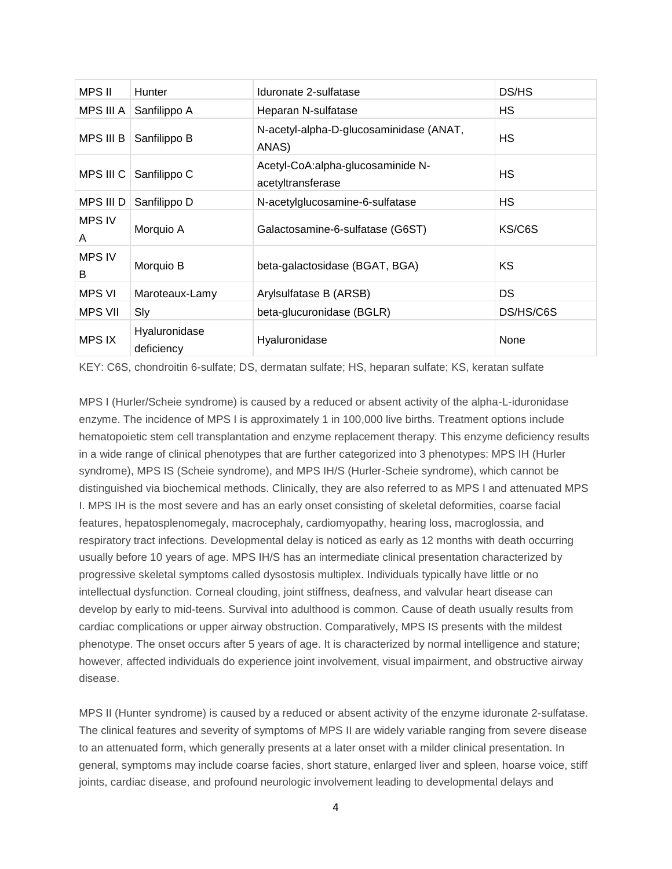| <b>MPS II</b>      | <b>Hunter</b>               | Iduronate 2-sulfatase                                  | DS/HS     |
|--------------------|-----------------------------|--------------------------------------------------------|-----------|
| MPS III A          | Sanfilippo A                | Heparan N-sulfatase                                    | HS        |
| MPS III B          | Sanfilippo B                | N-acetyl-alpha-D-glucosaminidase (ANAT,<br>ANAS)       | HS        |
| MPS III C          | Sanfilippo C                | Acetyl-CoA:alpha-glucosaminide N-<br>acetyltransferase | HS        |
| MPS III D          | Sanfilippo D                | N-acetylglucosamine-6-sulfatase                        | HS        |
| <b>MPS IV</b><br>A | Morquio A                   | Galactosamine-6-sulfatase (G6ST)                       | KS/C6S    |
| <b>MPS IV</b><br>B | Morquio B                   | beta-galactosidase (BGAT, BGA)                         | KS        |
| MPS VI             | Maroteaux-Lamy              | Arylsulfatase B (ARSB)                                 | DS.       |
| <b>MPS VII</b>     | Sly                         | beta-glucuronidase (BGLR)                              | DS/HS/C6S |
| <b>MPS IX</b>      | Hyaluronidase<br>deficiency | Hyaluronidase                                          | None      |

KEY: C6S, chondroitin 6-sulfate; DS, dermatan sulfate; HS, heparan sulfate; KS, keratan sulfate

MPS I (Hurler/Scheie syndrome) is caused by a reduced or absent activity of the alpha-L-iduronidase enzyme. The incidence of MPS I is approximately 1 in 100,000 live births. Treatment options include hematopoietic stem cell transplantation and enzyme replacement therapy. This enzyme deficiency results in a wide range of clinical phenotypes that are further categorized into 3 phenotypes: MPS IH (Hurler syndrome), MPS IS (Scheie syndrome), and MPS IH/S (Hurler-Scheie syndrome), which cannot be distinguished via biochemical methods. Clinically, they are also referred to as MPS I and attenuated MPS I. MPS IH is the most severe and has an early onset consisting of skeletal deformities, coarse facial features, hepatosplenomegaly, macrocephaly, cardiomyopathy, hearing loss, macroglossia, and respiratory tract infections. Developmental delay is noticed as early as 12 months with death occurring usually before 10 years of age. MPS IH/S has an intermediate clinical presentation characterized by progressive skeletal symptoms called dysostosis multiplex. Individuals typically have little or no intellectual dysfunction. Corneal clouding, joint stiffness, deafness, and valvular heart disease can develop by early to mid-teens. Survival into adulthood is common. Cause of death usually results from cardiac complications or upper airway obstruction. Comparatively, MPS IS presents with the mildest phenotype. The onset occurs after 5 years of age. It is characterized by normal intelligence and stature; however, affected individuals do experience joint involvement, visual impairment, and obstructive airway disease.

MPS II (Hunter syndrome) is caused by a reduced or absent activity of the enzyme iduronate 2-sulfatase. The clinical features and severity of symptoms of MPS II are widely variable ranging from severe disease to an attenuated form, which generally presents at a later onset with a milder clinical presentation. In general, symptoms may include coarse facies, short stature, enlarged liver and spleen, hoarse voice, stiff joints, cardiac disease, and profound neurologic involvement leading to developmental delays and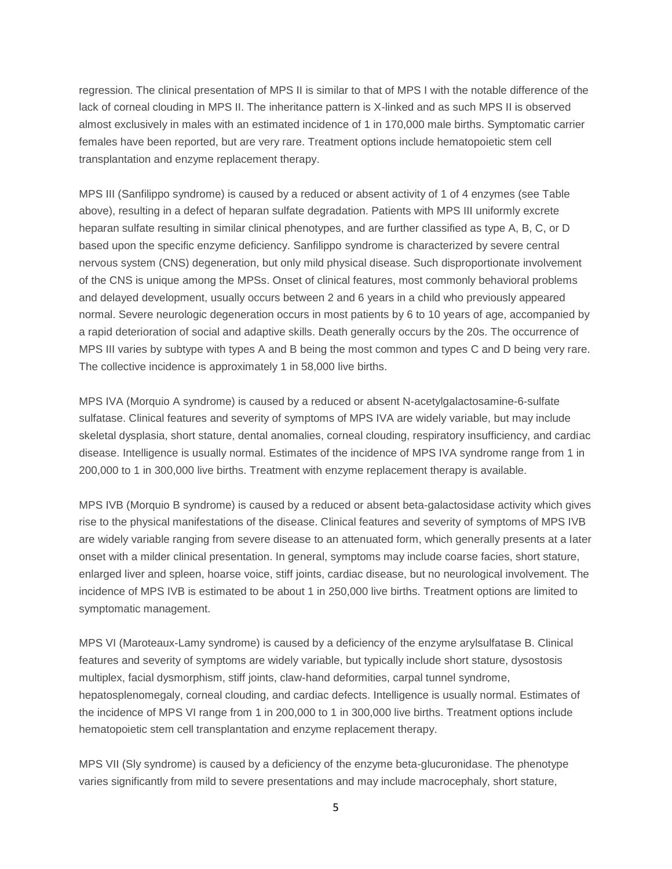regression. The clinical presentation of MPS II is similar to that of MPS I with the notable difference of the lack of corneal clouding in MPS II. The inheritance pattern is X-linked and as such MPS II is observed almost exclusively in males with an estimated incidence of 1 in 170,000 male births. Symptomatic carrier females have been reported, but are very rare. Treatment options include hematopoietic stem cell transplantation and enzyme replacement therapy.

MPS III (Sanfilippo syndrome) is caused by a reduced or absent activity of 1 of 4 enzymes (see Table above), resulting in a defect of heparan sulfate degradation. Patients with MPS III uniformly excrete heparan sulfate resulting in similar clinical phenotypes, and are further classified as type A, B, C, or D based upon the specific enzyme deficiency. Sanfilippo syndrome is characterized by severe central nervous system (CNS) degeneration, but only mild physical disease. Such disproportionate involvement of the CNS is unique among the MPSs. Onset of clinical features, most commonly behavioral problems and delayed development, usually occurs between 2 and 6 years in a child who previously appeared normal. Severe neurologic degeneration occurs in most patients by 6 to 10 years of age, accompanied by a rapid deterioration of social and adaptive skills. Death generally occurs by the 20s. The occurrence of MPS III varies by subtype with types A and B being the most common and types C and D being very rare. The collective incidence is approximately 1 in 58,000 live births.

MPS IVA (Morquio A syndrome) is caused by a reduced or absent N-acetylgalactosamine-6-sulfate sulfatase. Clinical features and severity of symptoms of MPS IVA are widely variable, but may include skeletal dysplasia, short stature, dental anomalies, corneal clouding, respiratory insufficiency, and cardiac disease. Intelligence is usually normal. Estimates of the incidence of MPS IVA syndrome range from 1 in 200,000 to 1 in 300,000 live births. Treatment with enzyme replacement therapy is available.

MPS IVB (Morquio B syndrome) is caused by a reduced or absent beta-galactosidase activity which gives rise to the physical manifestations of the disease. Clinical features and severity of symptoms of MPS IVB are widely variable ranging from severe disease to an attenuated form, which generally presents at a later onset with a milder clinical presentation. In general, symptoms may include coarse facies, short stature, enlarged liver and spleen, hoarse voice, stiff joints, cardiac disease, but no neurological involvement. The incidence of MPS IVB is estimated to be about 1 in 250,000 live births. Treatment options are limited to symptomatic management.

MPS VI (Maroteaux-Lamy syndrome) is caused by a deficiency of the enzyme arylsulfatase B. Clinical features and severity of symptoms are widely variable, but typically include short stature, dysostosis multiplex, facial dysmorphism, stiff joints, claw-hand deformities, carpal tunnel syndrome, hepatosplenomegaly, corneal clouding, and cardiac defects. Intelligence is usually normal. Estimates of the incidence of MPS VI range from 1 in 200,000 to 1 in 300,000 live births. Treatment options include hematopoietic stem cell transplantation and enzyme replacement therapy.

MPS VII (Sly syndrome) is caused by a deficiency of the enzyme beta-glucuronidase. The phenotype varies significantly from mild to severe presentations and may include macrocephaly, short stature,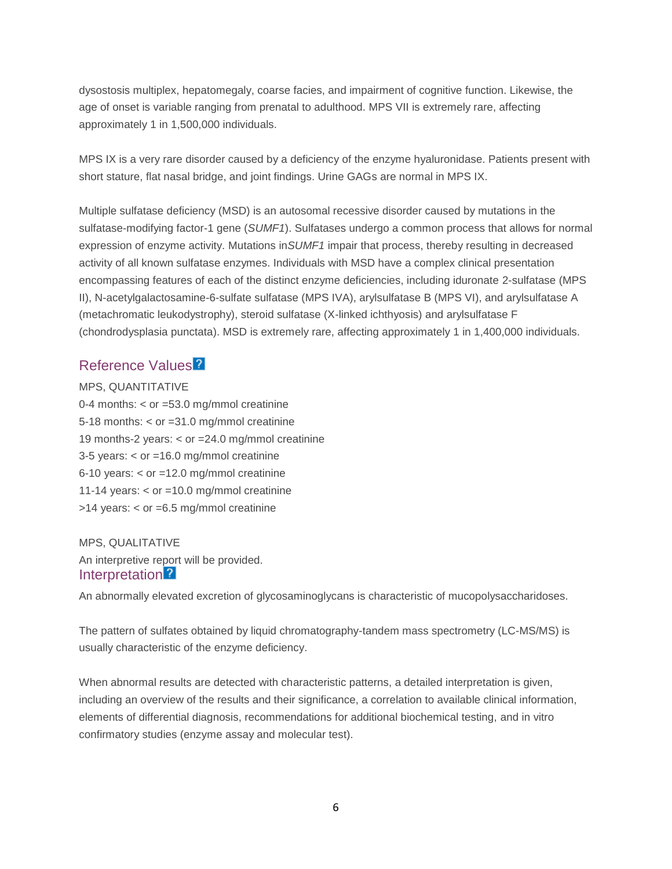dysostosis multiplex, hepatomegaly, coarse facies, and impairment of cognitive function. Likewise, the age of onset is variable ranging from prenatal to adulthood. MPS VII is extremely rare, affecting approximately 1 in 1,500,000 individuals.

MPS IX is a very rare disorder caused by a deficiency of the enzyme hyaluronidase. Patients present with short stature, flat nasal bridge, and joint findings. Urine GAGs are normal in MPS IX.

Multiple sulfatase deficiency (MSD) is an autosomal recessive disorder caused by mutations in the sulfatase-modifying factor-1 gene (*SUMF1*). Sulfatases undergo a common process that allows for normal expression of enzyme activity. Mutations in*SUMF1* impair that process, thereby resulting in decreased activity of all known sulfatase enzymes. Individuals with MSD have a complex clinical presentation encompassing features of each of the distinct enzyme deficiencies, including iduronate 2-sulfatase (MPS II), N-acetylgalactosamine-6-sulfate sulfatase (MPS IVA), arylsulfatase B (MPS VI), and arylsulfatase A (metachromatic leukodystrophy), steroid sulfatase (X-linked ichthyosis) and arylsulfatase F (chondrodysplasia punctata). MSD is extremely rare, affecting approximately 1 in 1,400,000 individuals.

### Reference Value[s](javascript:void(0))<sup>2</sup>

MPS, QUANTITATIVE 0-4 months: < or =53.0 mg/mmol creatinine 5-18 months: < or =31.0 mg/mmol creatinine 19 months-2 years: < or =24.0 mg/mmol creatinine 3-5 years: < or =16.0 mg/mmol creatinine 6-10 years:  $<$  or =12.0 mg/mmol creatinine 11-14 years: < or =10.0 mg/mmol creatinine >14 years: < or =6.5 mg/mmol creatinine

MPS, QUALITATIVE An interpretive report will be provided. Interpretation<sup>2</sup>

An abnormally elevated excretion of glycosaminoglycans is characteristic of mucopolysaccharidoses.

The pattern of sulfates obtained by liquid chromatography-tandem mass spectrometry (LC-MS/MS) is usually characteristic of the enzyme deficiency.

When abnormal results are detected with characteristic patterns, a detailed interpretation is given, including an overview of the results and their significance, a correlation to available clinical information, elements of differential diagnosis, recommendations for additional biochemical testing, and in vitro confirmatory studies (enzyme assay and molecular test).